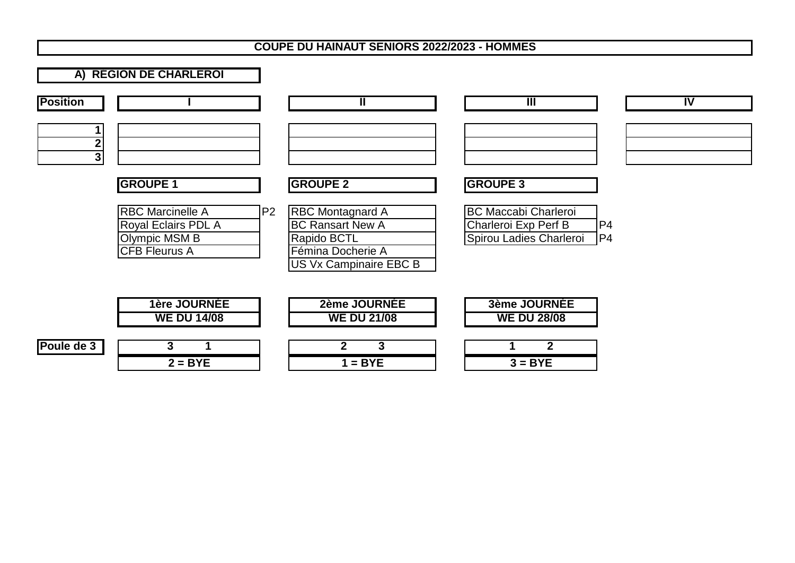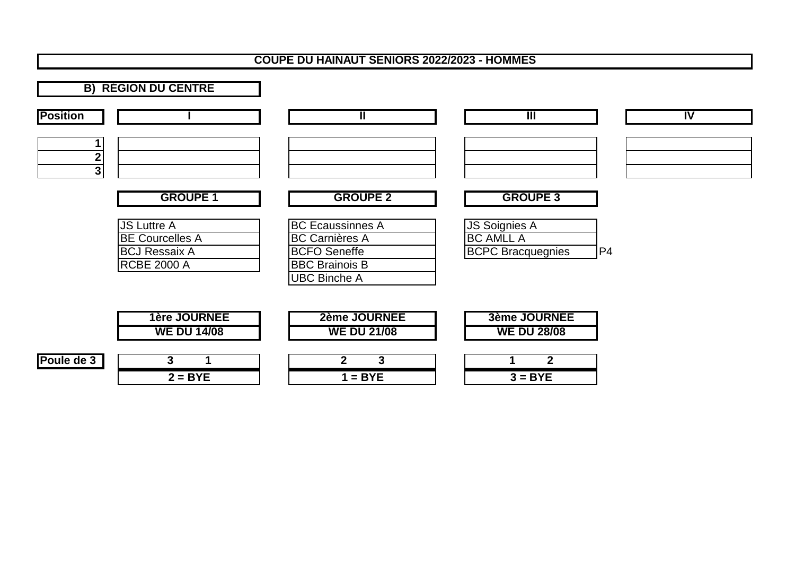## **COUPE DU HAINAUT SENIORS 2022/2023 - HOMMES**

|                     | <b>B) REGION DU CENTRE</b>                                                                 |                                                                                                                         |                                                                      |                          |
|---------------------|--------------------------------------------------------------------------------------------|-------------------------------------------------------------------------------------------------------------------------|----------------------------------------------------------------------|--------------------------|
| <b>Position</b>     |                                                                                            | Π                                                                                                                       | $\overline{\mathsf{H}}$                                              | $\overline{\mathsf{IV}}$ |
| $\overline{2}$<br>3 |                                                                                            |                                                                                                                         |                                                                      |                          |
|                     | <b>GROUPE 1</b>                                                                            | <b>GROUPE 2</b>                                                                                                         | <b>GROUPE 3</b>                                                      |                          |
|                     | <b>JS Luttre A</b><br><b>BE Courcelles A</b><br><b>BCJ Ressaix A</b><br><b>RCBE 2000 A</b> | <b>BC Ecaussinnes A</b><br><b>BC Carnières A</b><br><b>BCFO</b> Seneffe<br><b>BBC Brainois B</b><br><b>UBC Binche A</b> | <b>JS Soignies A</b><br><b>BC AMLL A</b><br><b>BCPC Bracquegnies</b> | P4                       |
|                     | <b>1ère JOURNEE</b><br><b>WE DU 14/08</b>                                                  | 2ème JOURNEE<br><b>WE DU 21/08</b>                                                                                      | <b>3ème JOURNEE</b><br><b>WE DU 28/08</b>                            |                          |
| Poule de 3          | $\mathbf{3}$<br>1<br>$2 = BYE$                                                             | 3<br>$\overline{2}$<br>$1 = BYE$                                                                                        | $\mathbf{2}$<br>$3 = BYE$                                            |                          |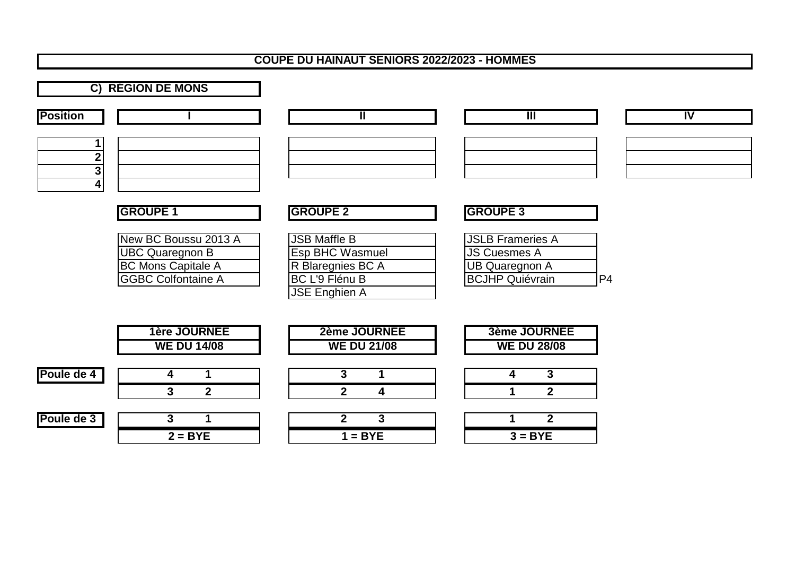## **COUPE DU HAINAUT SENIORS 2022/2023 - HOMMES**

|                          | C) REGION DE MONS                                                                                        |                                                                                      |                                                                                                   |                          |
|--------------------------|----------------------------------------------------------------------------------------------------------|--------------------------------------------------------------------------------------|---------------------------------------------------------------------------------------------------|--------------------------|
| <b>Position</b>          |                                                                                                          | π                                                                                    | $\mathbb{I}$                                                                                      | $\overline{\mathsf{IV}}$ |
| 1<br>$\overline{2}$<br>3 |                                                                                                          |                                                                                      |                                                                                                   |                          |
| 4                        | <b>GROUPE 1</b>                                                                                          | <b>GROUPE 2</b>                                                                      | <b>GROUPE 3</b>                                                                                   |                          |
|                          | New BC Boussu 2013 A<br><b>UBC Quaregnon B</b><br><b>BC Mons Capitale A</b><br><b>GGBC Colfontaine A</b> | <b>JSB Maffle B</b><br><b>Esp BHC Wasmuel</b><br>R Blaregnies BC A<br>BC L'9 Flénu B | <b>JSLB Frameries A</b><br><b>JS Cuesmes A</b><br><b>UB Quaregnon A</b><br><b>BCJHP Quiévrain</b> | P <sub>4</sub>           |
|                          | 1ère JOURNEE<br><b>WE DU 14/08</b>                                                                       | <b>JSE Enghien A</b><br>2ème JOURNEE<br><b>WE DU 21/08</b>                           | 3ème JOURNEE<br><b>WE DU 28/08</b>                                                                |                          |
| Poule de 4               | 4<br>$\mathbf 1$<br>3<br>$\mathbf{2}$                                                                    | 3<br>1<br>$\overline{2}$<br>4                                                        | $\overline{\mathbf{3}}$<br>4<br>$\mathbf{2}$<br>1                                                 |                          |
| Poule de 3               | $\mathbf{3}$<br>1<br>$2 = BYE$                                                                           | $\overline{3}$<br>$\mathbf{2}$<br>$1 = BYE$                                          | $\overline{2}$<br>$3 = BYE$                                                                       |                          |